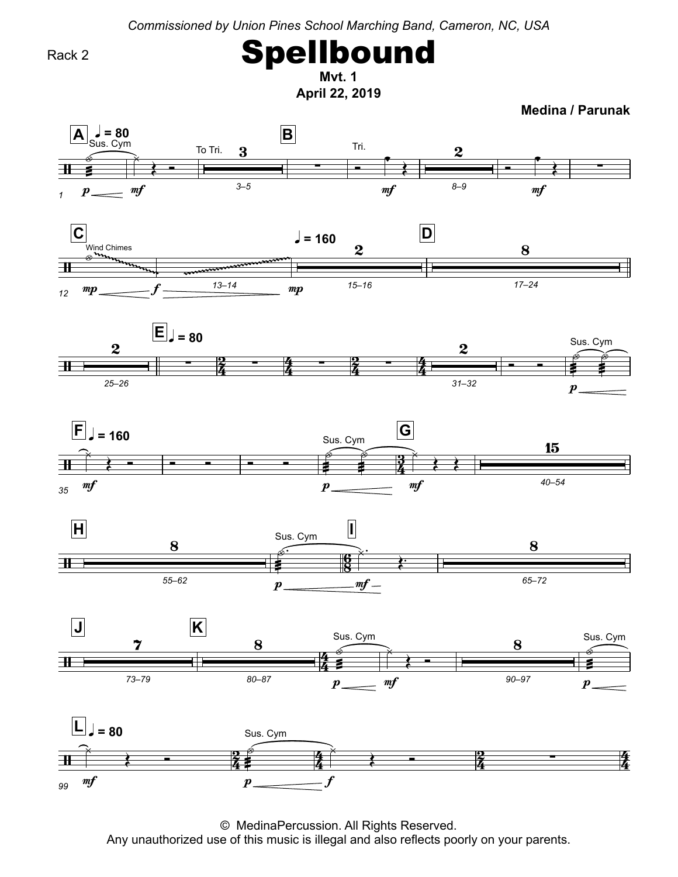*Commissioned by Union Pines School Marching Band, Cameron, NC, USA*

Rack 2

 **1** Spellbound

**April 22, 2019 Mvt.**

**Medina / Parunak**



© MedinaPercussion. All Rights Reserved.<br>Any unauthorized use of this music is illegal and also reflects poorly Any unauthorized use of this music is illegal and also reflects poorly on your parents.